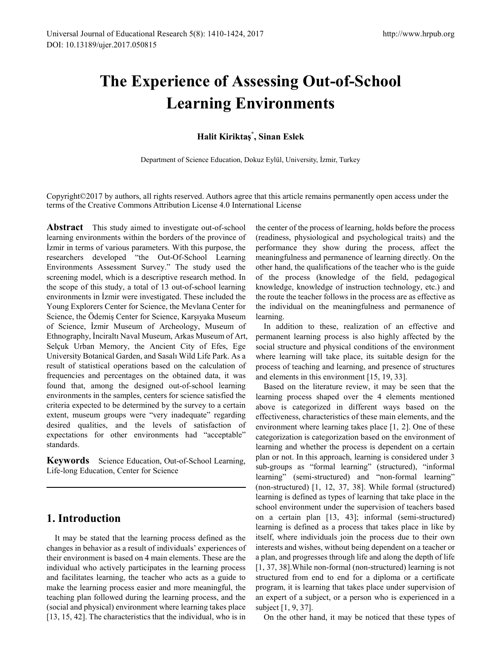# **The Experience of Assessing Out-of-School Learning Environments**

### **Halit Kiriktaş\* , Sinan Eslek**

Department of Science Education, Dokuz Eylül, University, İzmir, Turkey

Copyright©2017 by authors, all rights reserved. Authors agree that this article remains permanently open access under the terms of the Creative Commons Attribution License 4.0 International License

**Abstract** This study aimed to investigate out-of-school learning environments within the borders of the province of İzmir in terms of various parameters. With this purpose, the researchers developed "the Out-Of-School Learning Environments Assessment Survey." The study used the screening model, which is a descriptive research method. In the scope of this study, a total of 13 out-of-school learning environments in İzmir were investigated. These included the Young Explorers Center for Science, the Mevlana Center for Science, the Ödemiş Center for Science, Karşıyaka Museum of Science, İzmir Museum of Archeology, Museum of Ethnography, İnciraltı Naval Museum, Arkas Museum of Art, Selçuk Urban Memory, the Ancient City of Efes, Ege University Botanical Garden, and Sasalı Wild Life Park. As a result of statistical operations based on the calculation of frequencies and percentages on the obtained data, it was found that, among the designed out-of-school learning environments in the samples, centers for science satisfied the criteria expected to be determined by the survey to a certain extent, museum groups were "very inadequate" regarding desired qualities, and the levels of satisfaction of expectations for other environments had "acceptable" standards.

Keywords Science Education, Out-of-School Learning, Life-long Education, Center for Science

## **1. Introduction**

It may be stated that the learning process defined as the changes in behavior as a result of individuals' experiences of their environment is based on 4 main elements. These are the individual who actively participates in the learning process and facilitates learning, the teacher who acts as a guide to make the learning process easier and more meaningful, the teaching plan followed during the learning process, and the (social and physical) environment where learning takes place [13, 15, 42]. The characteristics that the individual, who is in

the center of the process of learning, holds before the process (readiness, physiological and psychological traits) and the performance they show during the process, affect the meaningfulness and permanence of learning directly. On the other hand, the qualifications of the teacher who is the guide of the process (knowledge of the field, pedagogical knowledge, knowledge of instruction technology, etc.) and the route the teacher follows in the process are as effective as the individual on the meaningfulness and permanence of learning.

In addition to these, realization of an effective and permanent learning process is also highly affected by the social structure and physical conditions of the environment where learning will take place, its suitable design for the process of teaching and learning, and presence of structures and elements in this environment [15, 19, 33].

Based on the literature review, it may be seen that the learning process shaped over the 4 elements mentioned above is categorized in different ways based on the effectiveness, characteristics of these main elements, and the environment where learning takes place [1, 2]. One of these categorization is categorization based on the environment of learning and whether the process is dependent on a certain plan or not. In this approach, learning is considered under 3 sub-groups as "formal learning" (structured), "informal learning" (semi-structured) and "non-formal learning" (non-structured) [1, 12, 37, 38]. While formal (structured) learning is defined as types of learning that take place in the school environment under the supervision of teachers based on a certain plan [13, 43]; informal (semi-structured) learning is defined as a process that takes place in like by itself, where individuals join the process due to their own interests and wishes, without being dependent on a teacher or a plan, and progresses through life and along the depth of life [1, 37, 38]. While non-formal (non-structured) learning is not structured from end to end for a diploma or a certificate program, it is learning that takes place under supervision of an expert of a subject, or a person who is experienced in a subject [1, 9, 37].

On the other hand, it may be noticed that these types of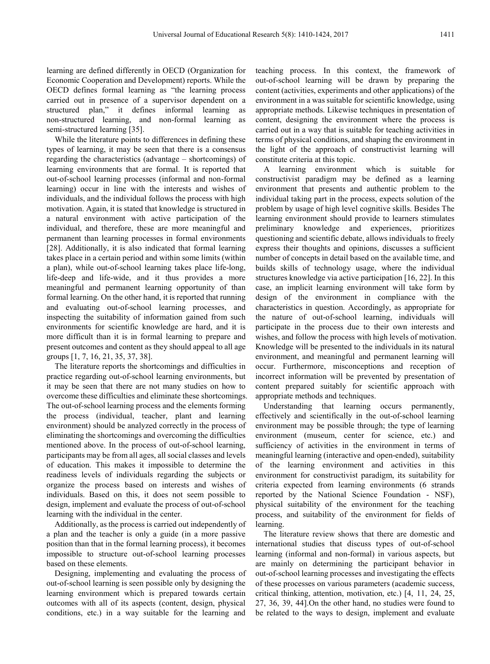learning are defined differently in OECD (Organization for Economic Cooperation and Development) reports. While the OECD defines formal learning as "the learning process carried out in presence of a supervisor dependent on a structured plan," it defines informal learning as non-structured learning, and non-formal learning as semi-structured learning [35].

While the literature points to differences in defining these types of learning, it may be seen that there is a consensus regarding the characteristics (advantage – shortcomings) of learning environments that are formal. It is reported that out-of-school learning processes (informal and non-formal learning) occur in line with the interests and wishes of individuals, and the individual follows the process with high motivation. Again, it is stated that knowledge is structured in a natural environment with active participation of the individual, and therefore, these are more meaningful and permanent than learning processes in formal environments [28]. Additionally, it is also indicated that formal learning takes place in a certain period and within some limits (within a plan), while out-of-school learning takes place life-long, life-deep and life-wide, and it thus provides a more meaningful and permanent learning opportunity of than formal learning. On the other hand, it is reported that running and evaluating out-of-school learning processes, and inspecting the suitability of information gained from such environments for scientific knowledge are hard, and it is more difficult than it is in formal learning to prepare and present outcomes and content as they should appeal to all age groups [1, 7, 16, 21, 35, 37, 38].

The literature reports the shortcomings and difficulties in practice regarding out-of-school learning environments, but it may be seen that there are not many studies on how to overcome these difficulties and eliminate these shortcomings. The out-of-school learning process and the elements forming the process (individual, teacher, plant and learning environment) should be analyzed correctly in the process of eliminating the shortcomings and overcoming the difficulties mentioned above. In the process of out-of-school learning, participants may be from all ages, all social classes and levels of education. This makes it impossible to determine the readiness levels of individuals regarding the subjects or organize the process based on interests and wishes of individuals. Based on this, it does not seem possible to design, implement and evaluate the process of out-of-school learning with the individual in the center.

Additionally, as the process is carried out independently of a plan and the teacher is only a guide (in a more passive position than that in the formal learning process), it becomes impossible to structure out-of-school learning processes based on these elements.

Designing, implementing and evaluating the process of out-of-school learning is seen possible only by designing the learning environment which is prepared towards certain outcomes with all of its aspects (content, design, physical conditions, etc.) in a way suitable for the learning and

teaching process. In this context, the framework of out-of-school learning will be drawn by preparing the content (activities, experiments and other applications) of the environment in a was suitable for scientific knowledge, using appropriate methods. Likewise techniques in presentation of content, designing the environment where the process is carried out in a way that is suitable for teaching activities in terms of physical conditions, and shaping the environment in the light of the approach of constructivist learning will constitute criteria at this topic.

A learning environment which is suitable for constructivist paradigm may be defined as a learning environment that presents and authentic problem to the individual taking part in the process, expects solution of the problem by usage of high level cognitive skills. Besides The learning environment should provide to learners stimulates preliminary knowledge and experiences, prioritizes questioning and scientific debate, allows individuals to freely express their thoughts and opinions, discusses a sufficient number of concepts in detail based on the available time, and builds skills of technology usage, where the individual structures knowledge via active participation [16, 22]. In this case, an implicit learning environment will take form by design of the environment in compliance with the characteristics in question. Accordingly, as appropriate for the nature of out-of-school learning, individuals will participate in the process due to their own interests and wishes, and follow the process with high levels of motivation. Knowledge will be presented to the individuals in its natural environment, and meaningful and permanent learning will occur. Furthermore, misconceptions and reception of incorrect information will be prevented by presentation of content prepared suitably for scientific approach with appropriate methods and techniques.

Understanding that learning occurs permanently, effectively and scientifically in the out-of-school learning environment may be possible through; the type of learning environment (museum, center for science, etc.) and sufficiency of activities in the environment in terms of meaningful learning (interactive and open-ended), suitability of the learning environment and activities in this environment for constructivist paradigm, its suitability for criteria expected from learning environments (6 strands reported by the National Science Foundation - NSF), physical suitability of the environment for the teaching process, and suitability of the environment for fields of learning.

The literature review shows that there are domestic and international studies that discuss types of out-of-school learning (informal and non-formal) in various aspects, but are mainly on determining the participant behavior in out-of-school learning processes and investigating the effects of these processes on various parameters (academic success, critical thinking, attention, motivation, etc.) [4, 11, 24, 25, 27, 36, 39, 44].On the other hand, no studies were found to be related to the ways to design, implement and evaluate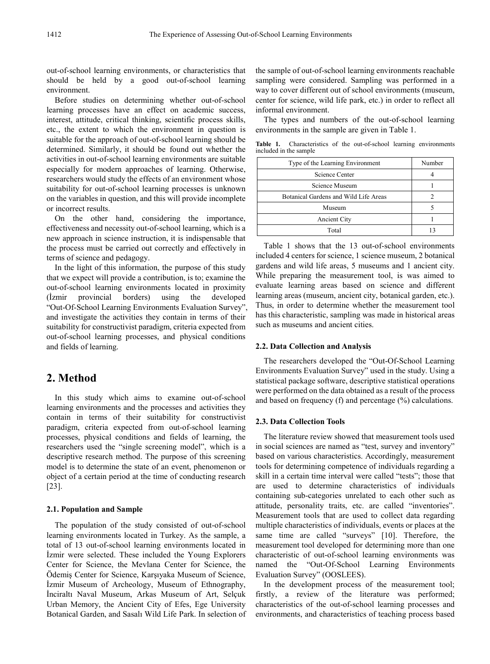out-of-school learning environments, or characteristics that should be held by a good out-of-school learning environment.

Before studies on determining whether out-of-school learning processes have an effect on academic success, interest, attitude, critical thinking, scientific process skills, etc., the extent to which the environment in question is suitable for the approach of out-of-school learning should be determined. Similarly, it should be found out whether the activities in out-of-school learning environments are suitable especially for modern approaches of learning. Otherwise, researchers would study the effects of an environment whose suitability for out-of-school learning processes is unknown on the variables in question, and this will provide incomplete or incorrect results.

On the other hand, considering the importance, effectiveness and necessity out-of-school learning, which is a new approach in science instruction, it is indispensable that the process must be carried out correctly and effectively in terms of science and pedagogy.

In the light of this information, the purpose of this study that we expect will provide a contribution, is to; examine the out-of-school learning environments located in proximity (İzmir provincial borders) using the developed "Out-Of-School Learning Environments Evaluation Survey", and investigate the activities they contain in terms of their suitability for constructivist paradigm, criteria expected from out-of-school learning processes, and physical conditions and fields of learning.

### **2. Method**

In this study which aims to examine out-of-school learning environments and the processes and activities they contain in terms of their suitability for constructivist paradigm, criteria expected from out-of-school learning processes, physical conditions and fields of learning, the researchers used the "single screening model", which is a descriptive research method. The purpose of this screening model is to determine the state of an event, phenomenon or object of a certain period at the time of conducting research [23].

#### **2.1. Population and Sample**

The population of the study consisted of out-of-school learning environments located in Turkey. As the sample, a total of 13 out-of-school learning environments located in İzmir were selected. These included the Young Explorers Center for Science, the Mevlana Center for Science, the Ödemiş Center for Science, Karşıyaka Museum of Science, İzmir Museum of Archeology, Museum of Ethnography, İnciraltı Naval Museum, Arkas Museum of Art, Selçuk Urban Memory, the Ancient City of Efes, Ege University Botanical Garden, and Sasalı Wild Life Park. In selection of

the sample of out-of-school learning environments reachable sampling were considered. Sampling was performed in a way to cover different out of school environments (museum, center for science, wild life park, etc.) in order to reflect all informal environment.

The types and numbers of the out-of-school learning environments in the sample are given in Table 1.

**Table 1.** Characteristics of the out-of-school learning environments included in the sample

| Type of the Learning Environment      | Number |
|---------------------------------------|--------|
| Science Center                        |        |
| Science Museum                        |        |
| Botanical Gardens and Wild Life Areas |        |
| Museum                                |        |
| Ancient City                          |        |
| Total                                 |        |

Table 1 shows that the 13 out-of-school environments included 4 centers for science, 1 science museum, 2 botanical gardens and wild life areas, 5 museums and 1 ancient city. While preparing the measurement tool, is was aimed to evaluate learning areas based on science and different learning areas (museum, ancient city, botanical garden, etc.). Thus, in order to determine whether the measurement tool has this characteristic, sampling was made in historical areas such as museums and ancient cities.

#### **2.2. Data Collection and Analysis**

The researchers developed the "Out-Of-School Learning Environments Evaluation Survey" used in the study. Using a statistical package software, descriptive statistical operations were performed on the data obtained as a result of the process and based on frequency (f) and percentage (%) calculations.

#### **2.3. Data Collection Tools**

The literature review showed that measurement tools used in social sciences are named as "test, survey and inventory" based on various characteristics. Accordingly, measurement tools for determining competence of individuals regarding a skill in a certain time interval were called "tests"; those that are used to determine characteristics of individuals containing sub-categories unrelated to each other such as attitude, personality traits, etc. are called "inventories". Measurement tools that are used to collect data regarding multiple characteristics of individuals, events or places at the same time are called "surveys" [10]. Therefore, the measurement tool developed for determining more than one characteristic of out-of-school learning environments was named the "Out-Of-School Learning Environments Evaluation Survey" (OOSLEES).

In the development process of the measurement tool; firstly, a review of the literature was performed; characteristics of the out-of-school learning processes and environments, and characteristics of teaching process based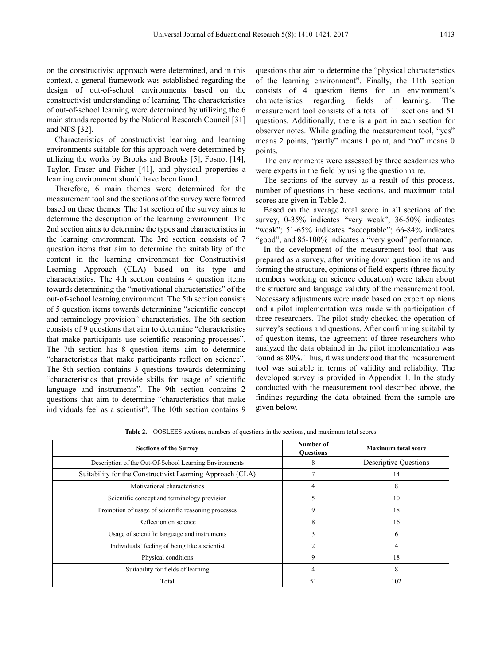on the constructivist approach were determined, and in this context, a general framework was established regarding the design of out-of-school environments based on the constructivist understanding of learning. The characteristics of out-of-school learning were determined by utilizing the 6 main strands reported by the National Research Council [31] and NFS [32].

Characteristics of constructivist learning and learning environments suitable for this approach were determined by utilizing the works by Brooks and Brooks [5], Fosnot [14], Taylor, Fraser and Fisher [41], and physical properties a learning environment should have been found.

Therefore, 6 main themes were determined for the measurement tool and the sections of the survey were formed based on these themes. The 1st section of the survey aims to determine the description of the learning environment. The 2nd section aims to determine the types and characteristics in the learning environment. The 3rd section consists of 7 question items that aim to determine the suitability of the content in the learning environment for Constructivist Learning Approach (CLA) based on its type and characteristics. The 4th section contains 4 question items towards determining the "motivational characteristics" of the out-of-school learning environment. The 5th section consists of 5 question items towards determining "scientific concept and terminology provision" characteristics. The 6th section consists of 9 questions that aim to determine "characteristics that make participants use scientific reasoning processes". The 7th section has 8 question items aim to determine "characteristics that make participants reflect on science". The 8th section contains 3 questions towards determining "characteristics that provide skills for usage of scientific language and instruments". The 9th section contains 2 questions that aim to determine "characteristics that make individuals feel as a scientist". The 10th section contains 9

questions that aim to determine the "physical characteristics of the learning environment". Finally, the 11th section consists of 4 question items for an environment's characteristics regarding fields of learning. The measurement tool consists of a total of 11 sections and 51 questions. Additionally, there is a part in each section for observer notes. While grading the measurement tool, "yes" means 2 points, "partly" means 1 point, and "no" means 0 points.

The environments were assessed by three academics who were experts in the field by using the questionnaire.

The sections of the survey as a result of this process, number of questions in these sections, and maximum total scores are given in Table 2.

Based on the average total score in all sections of the survey, 0-35% indicates "very weak"; 36-50% indicates "weak"; 51-65% indicates "acceptable"; 66-84% indicates "good", and 85-100% indicates a "very good" performance.

In the development of the measurement tool that was prepared as a survey, after writing down question items and forming the structure, opinions of field experts (three faculty members working on science education) were taken about the structure and language validity of the measurement tool. Necessary adjustments were made based on expert opinions and a pilot implementation was made with participation of three researchers. The pilot study checked the operation of survey's sections and questions. After confirming suitability of question items, the agreement of three researchers who analyzed the data obtained in the pilot implementation was found as 80%. Thus, it was understood that the measurement tool was suitable in terms of validity and reliability. The developed survey is provided in Appendix 1. In the study conducted with the measurement tool described above, the findings regarding the data obtained from the sample are given below.

| <b>Sections of the Survey</b>                              | Number of<br><b>Ouestions</b> | <b>Maximum total score</b>   |
|------------------------------------------------------------|-------------------------------|------------------------------|
| Description of the Out-Of-School Learning Environments     | 8                             | <b>Descriptive Questions</b> |
| Suitability for the Constructivist Learning Approach (CLA) |                               | 14                           |
| Motivational characteristics                               | 4                             | 8                            |
| Scientific concept and terminology provision               | 5                             | 10                           |
| Promotion of usage of scientific reasoning processes       | 9                             | 18                           |
| Reflection on science                                      | 8                             | 16                           |
| Usage of scientific language and instruments               | 3                             | 6                            |
| Individuals' feeling of being like a scientist             | $\mathfrak{D}$                | 4                            |
| Physical conditions                                        | 9                             | 18                           |
| Suitability for fields of learning                         | 4                             | 8                            |
| Total                                                      | 51                            | 102                          |

**Table 2.** OOSLEES sections, numbers of questions in the sections, and maximum total scores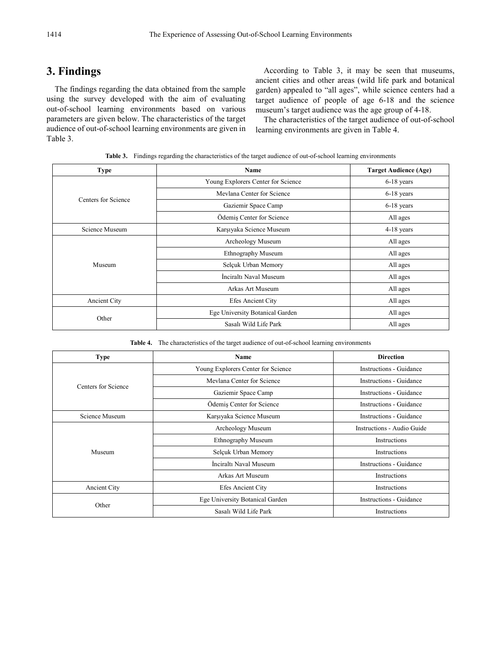# **3. Findings**

The findings regarding the data obtained from the sample using the survey developed with the aim of evaluating out-of-school learning environments based on various parameters are given below. The characteristics of the target audience of out-of-school learning environments are given in Table 3.

According to Table 3, it may be seen that museums, ancient cities and other areas (wild life park and botanical garden) appealed to "all ages", while science centers had a target audience of people of age 6-18 and the science museum's target audience was the age group of 4-18.

The characteristics of the target audience of out-of-school learning environments are given in Table 4.

|  | Table 3. Findings regarding the characteristics of the target audience of out-of-school learning environments |  |
|--|---------------------------------------------------------------------------------------------------------------|--|
|  |                                                                                                               |  |

| <b>Type</b>         | Name                               | <b>Target Audience (Age)</b> |
|---------------------|------------------------------------|------------------------------|
|                     | Young Explorers Center for Science | 6-18 years                   |
| Centers for Science | Mevlana Center for Science         | $6-18$ years                 |
|                     | Gaziemir Space Camp                | $6-18$ years                 |
|                     | Ödemiş Center for Science          | All ages                     |
| Science Museum      | Karşıyaka Science Museum           |                              |
|                     | Archeology Museum                  | All ages                     |
|                     | Ethnography Museum                 | All ages                     |
| Museum              | Selçuk Urban Memory                | All ages                     |
|                     | İnciraltı Naval Museum             | All ages                     |
|                     | Arkas Art Museum                   | All ages                     |
| Ancient City        | Efes Ancient City                  |                              |
|                     | Ege University Botanical Garden    | All ages                     |
| Other               | Sasalı Wild Life Park              | All ages                     |

**Table 4.** The characteristics of the target audience of out-of-school learning environments

| <b>Type</b>         | Name                               | <b>Direction</b>           |
|---------------------|------------------------------------|----------------------------|
|                     | Young Explorers Center for Science | Instructions - Guidance    |
|                     | Mevlana Center for Science         | Instructions - Guidance    |
| Centers for Science | Gaziemir Space Camp                | Instructions - Guidance    |
|                     | Ödemiş Center for Science          | Instructions - Guidance    |
| Science Museum      | Karşıyaka Science Museum           | Instructions - Guidance    |
|                     | Archeology Museum                  | Instructions - Audio Guide |
|                     | Ethnography Museum                 | Instructions               |
| Museum              | Selçuk Urban Memory                | Instructions               |
|                     | İnciraltı Naval Museum             | Instructions - Guidance    |
|                     | Arkas Art Museum                   | Instructions               |
| Ancient City        | Efes Ancient City                  | Instructions               |
|                     | Ege University Botanical Garden    | Instructions - Guidance    |
| Other               | Sasalı Wild Life Park              | Instructions               |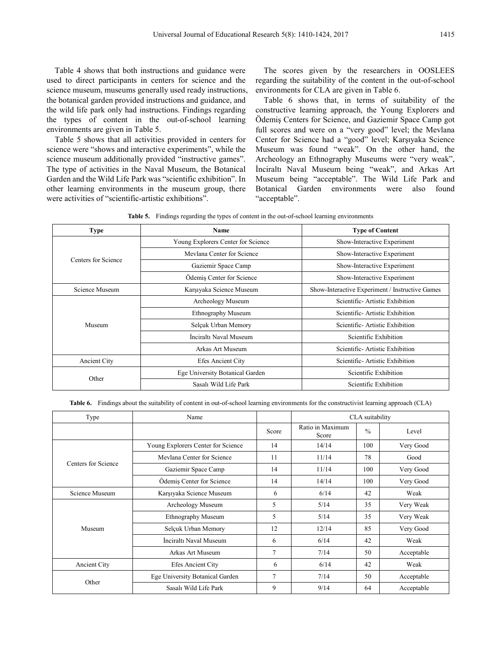Table 4 shows that both instructions and guidance were used to direct participants in centers for science and the science museum, museums generally used ready instructions, the botanical garden provided instructions and guidance, and the wild life park only had instructions. Findings regarding the types of content in the out-of-school learning environments are given in Table 5.

Table 5 shows that all activities provided in centers for science were "shows and interactive experiments", while the science museum additionally provided "instructive games". The type of activities in the Naval Museum, the Botanical Garden and the Wild Life Park was "scientific exhibition". In other learning environments in the museum group, there were activities of "scientific-artistic exhibitions".

The scores given by the researchers in OOSLEES regarding the suitability of the content in the out-of-school environments for CLA are given in Table 6.

Table 6 shows that, in terms of suitability of the constructive learning approach, the Young Explorers and Ödemiş Centers for Science, and Gaziemir Space Camp got full scores and were on a "very good" level; the Mevlana Center for Science had a "good" level; Karşıyaka Science Museum was found "weak". On the other hand, the Archeology an Ethnography Museums were "very weak", İnciraltı Naval Museum being "weak", and Arkas Art Museum being "acceptable". The Wild Life Park and Botanical Garden environments were also found "acceptable".

**Table 5.** Findings regarding the types of content in the out-of-school learning environments

| <b>Name</b>                        | <b>Type of Content</b>                          |  |  |  |
|------------------------------------|-------------------------------------------------|--|--|--|
| Young Explorers Center for Science | Show-Interactive Experiment                     |  |  |  |
| Mevlana Center for Science         | Show-Interactive Experiment                     |  |  |  |
| Gaziemir Space Camp                | Show-Interactive Experiment                     |  |  |  |
| Ödemiş Center for Science          | Show-Interactive Experiment                     |  |  |  |
| Karşıyaka Science Museum           | Show-Interactive Experiment / Instructive Games |  |  |  |
| Archeology Museum                  | Scientific-Artistic Exhibition                  |  |  |  |
| <b>Ethnography Museum</b>          | Scientific-Artistic Exhibition                  |  |  |  |
| Selçuk Urban Memory                | Scientific-Artistic Exhibition                  |  |  |  |
| Inciralti Naval Museum             | Scientific Exhibition                           |  |  |  |
| Arkas Art Museum                   | Scientific - Artistic Exhibition                |  |  |  |
| Efes Ancient City                  | Scientific-Artistic Exhibition                  |  |  |  |
| Ege University Botanical Garden    | Scientific Exhibition                           |  |  |  |
| Sasalı Wild Life Park              | Scientific Exhibition                           |  |  |  |
|                                    |                                                 |  |  |  |

**Table 6.** Findings about the suitability of content in out-of-school learning environments for the constructivist learning approach (CLA)

| Type                | Name                               |        | CLA suitability           |               |            |
|---------------------|------------------------------------|--------|---------------------------|---------------|------------|
|                     |                                    | Score  | Ratio in Maximum<br>Score | $\frac{0}{0}$ | Level      |
|                     | Young Explorers Center for Science | 14     | 14/14                     | 100           | Very Good  |
|                     | Mevlana Center for Science         | 11     | 11/14                     | 78            | Good       |
| Centers for Science | Gaziemir Space Camp                | 14     | 11/14                     | 100           | Very Good  |
|                     | Ödemiş Center for Science          | 14     | 14/14                     | 100           | Very Good  |
| Science Museum      | Karşıyaka Science Museum           | 6      | 6/14                      | 42            | Weak       |
|                     | Archeology Museum                  | 5      | 5/14                      | 35            | Very Weak  |
|                     | Ethnography Museum                 | 5      | 5/14                      | 35            | Very Weak  |
| Museum              | Selçuk Urban Memory                | 12     | 12/14                     | 85            | Very Good  |
|                     | İnciraltı Naval Museum             | 6      | 6/14                      | 42            | Weak       |
|                     | Arkas Art Museum                   | $\tau$ | 7/14                      | 50            | Acceptable |
| Ancient City        | <b>Efes Ancient City</b>           | 6      | 6/14                      | 42            | Weak       |
|                     | Ege University Botanical Garden    | 7      | 7/14                      | 50            | Acceptable |
| Other               | Sasalı Wild Life Park              | 9      | 9/14                      | 64            | Acceptable |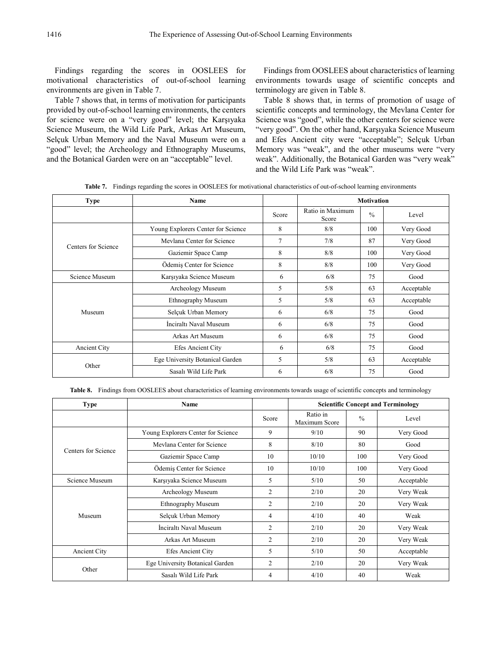Findings regarding the scores in OOSLEES for motivational characteristics of out-of-school learning environments are given in Table 7.

Table 7 shows that, in terms of motivation for participants provided by out-of-school learning environments, the centers for science were on a "very good" level; the Karşıyaka Science Museum, the Wild Life Park, Arkas Art Museum, Selçuk Urban Memory and the Naval Museum were on a "good" level; the Archeology and Ethnography Museums, and the Botanical Garden were on an "acceptable" level.

Findings from OOSLEES about characteristics of learning environments towards usage of scientific concepts and terminology are given in Table 8.

Table 8 shows that, in terms of promotion of usage of scientific concepts and terminology, the Mevlana Center for Science was "good", while the other centers for science were "very good". On the other hand, Karşıyaka Science Museum and Efes Ancient city were "acceptable"; Selçuk Urban Memory was "weak", and the other museums were "very weak". Additionally, the Botanical Garden was "very weak" and the Wild Life Park was "weak".

**Table 7.** Findings regarding the scores in OOSLEES for motivational characteristics of out-of-school learning environments

| <b>Type</b>         | Name                               |                | <b>Motivation</b>         |               |            |
|---------------------|------------------------------------|----------------|---------------------------|---------------|------------|
|                     |                                    | Score          | Ratio in Maximum<br>Score | $\frac{0}{0}$ | Level      |
|                     | Young Explorers Center for Science | 8              | 8/8                       | 100           | Very Good  |
| Centers for Science | Mevlana Center for Science         | $\overline{7}$ | 7/8                       | 87            | Very Good  |
|                     | Gaziemir Space Camp                | 8              | 8/8                       | 100           | Very Good  |
|                     | Ödemiş Center for Science          | 8              | 8/8                       | 100           | Very Good  |
| Science Museum      | Karşıyaka Science Museum           | 6              | 6/8                       | 75            | Good       |
|                     | Archeology Museum                  | 5              | 5/8                       | 63            | Acceptable |
|                     | Ethnography Museum                 | 5              | 5/8                       | 63            | Acceptable |
| Museum              | Selçuk Urban Memory                | 6              | 6/8                       | 75            | Good       |
|                     | Inciralti Naval Museum             | 6              | 6/8                       | 75            | Good       |
|                     | Arkas Art Museum                   | 6              | 6/8                       | 75            | Good       |
| Ancient City        | Efes Ancient City                  | 6              | 6/8                       | 75            | Good       |
|                     | Ege University Botanical Garden    | 5              | 5/8                       | 63            | Acceptable |
| Other               | Sasalı Wild Life Park              | 6              | 6/8                       | 75            | Good       |

**Table 8.** Findings from OOSLEES about characteristics of learning environments towards usage of scientific concepts and terminology

| <b>Type</b>         | Name                               |                 | <b>Scientific Concept and Terminology</b> |               |            |  |
|---------------------|------------------------------------|-----------------|-------------------------------------------|---------------|------------|--|
|                     |                                    | Score           | Ratio in<br>Maximum Score                 | $\frac{0}{0}$ | Level      |  |
|                     | Young Explorers Center for Science | 9               | 9/10                                      | 90            | Very Good  |  |
| Centers for Science | Mevlana Center for Science         | 8               | 8/10                                      | 80            | Good       |  |
|                     | Gaziemir Space Camp                | 10              | 10/10                                     | 100           | Very Good  |  |
|                     | Ödemiş Center for Science          | 10              | 10/10                                     | 100           | Very Good  |  |
| Science Museum      | Karşıyaka Science Museum           | 5               | 5/10                                      | 50            | Acceptable |  |
|                     | Archeology Museum                  | 2               | 2/10                                      | 20            | Very Weak  |  |
|                     | Ethnography Museum                 | 2               | 2/10                                      | 20            | Very Weak  |  |
| Museum              | Selçuk Urban Memory                | 4<br>4/10<br>40 |                                           |               | Weak       |  |
|                     | İnciraltı Naval Museum             |                 | 2/10                                      | 20            | Very Weak  |  |
|                     | Arkas Art Museum                   | $\overline{c}$  | 2/10                                      | 20            | Very Weak  |  |
| Ancient City        | Efes Ancient City                  | 5               | 5/10                                      | 50            | Acceptable |  |
|                     | Ege University Botanical Garden    | 2               | 2/10                                      | 20            | Very Weak  |  |
| Other               | Sasalı Wild Life Park              | 4               | 4/10                                      | 40            | Weak       |  |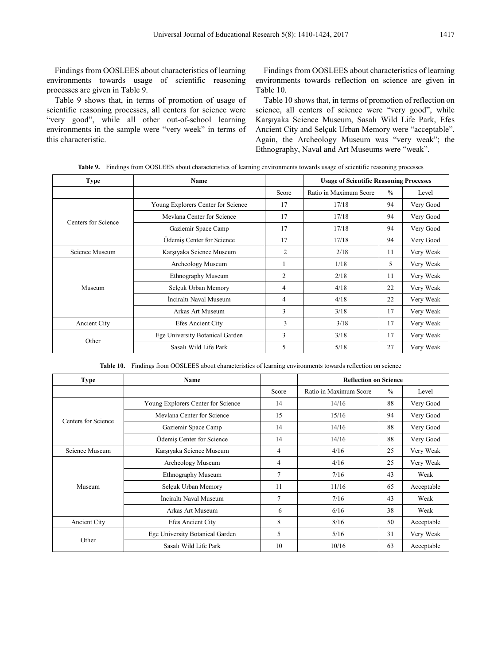Findings from OOSLEES about characteristics of learning environments towards usage of scientific reasoning processes are given in Table 9.

Table 9 shows that, in terms of promotion of usage of scientific reasoning processes, all centers for science were "very good", while all other out-of-school learning environments in the sample were "very week" in terms of this characteristic.

Findings from OOSLEES about characteristics of learning environments towards reflection on science are given in Table 10.

Table 10 shows that, in terms of promotion of reflection on science, all centers of science were "very good", while Karşıyaka Science Museum, Sasalı Wild Life Park, Efes Ancient City and Selçuk Urban Memory were "acceptable". Again, the Archeology Museum was "very weak"; the Ethnography, Naval and Art Museums were "weak".

**Table 9.** Findings from OOSLEES about characteristics of learning environments towards usage of scientific reasoning processes

| <b>Type</b>         | <b>Name</b>                        |                | <b>Usage of Scientific Reasoning Processes</b> |               |           |  |
|---------------------|------------------------------------|----------------|------------------------------------------------|---------------|-----------|--|
|                     |                                    | Score          | Ratio in Maximum Score                         | $\frac{0}{0}$ | Level     |  |
|                     | Young Explorers Center for Science | 17             | 17/18                                          | 94            | Very Good |  |
|                     | Mevlana Center for Science         | 17             | 17/18                                          | 94            | Very Good |  |
| Centers for Science | Gaziemir Space Camp                | 17             | 17/18                                          | 94            | Very Good |  |
|                     | Ödemiş Center for Science          | 17             | 17/18                                          | 94            | Very Good |  |
| Science Museum      | Karşıyaka Science Museum           | $\overline{c}$ | 2/18                                           | 11            | Very Weak |  |
|                     | Archeology Museum                  |                | 1/18                                           | 5             | Very Weak |  |
|                     | Ethnography Museum                 | $\overline{2}$ | 2/18                                           | 11            | Very Weak |  |
| Museum              | Selçuk Urban Memory                | $\overline{4}$ | 4/18                                           | 22            | Very Weak |  |
|                     | Inciralti Naval Museum             | $\overline{4}$ | 4/18                                           | 22            | Very Weak |  |
|                     | Arkas Art Museum                   | 3              | 3/18                                           | 17            | Very Weak |  |
| Ancient City        | <b>Efes Ancient City</b>           | 3              | 3/18                                           | 17            | Very Weak |  |
|                     | Ege University Botanical Garden    | 3              | 3/18                                           | 17            | Very Weak |  |
| Other               | Sasalı Wild Life Park              | 5              | 5/18                                           | 27            | Very Weak |  |

**Table 10.** Findings from OOSLEES about characteristics of learning environments towards reflection on science

| <b>Type</b>         | Name                               |        | <b>Reflection on Science</b> |               |            |
|---------------------|------------------------------------|--------|------------------------------|---------------|------------|
|                     |                                    | Score  | Ratio in Maximum Score       | $\frac{0}{0}$ | Level      |
|                     | Young Explorers Center for Science | 14     | 14/16                        | 88            | Very Good  |
|                     | Mevlana Center for Science         | 15     | 15/16                        | 94            | Very Good  |
| Centers for Science | Gaziemir Space Camp                | 14     | 14/16                        | 88            | Very Good  |
|                     | Ödemiş Center for Science          | 14     | 14/16                        | 88            | Very Good  |
| Science Museum      | Karşıyaka Science Museum           | 4      | 4/16                         | 25            | Very Weak  |
|                     | Archeology Museum                  | 4      | 4/16                         | 25            | Very Weak  |
|                     | Ethnography Museum                 | $\tau$ | 7/16                         | 43            | Weak       |
| Museum              | Selçuk Urban Memory                | 11     | 11/16                        | 65            | Acceptable |
|                     | Inciralti Naval Museum             | $\tau$ | 7/16                         | 43            | Weak       |
|                     | Arkas Art Museum                   | 6      | 6/16                         | 38            | Weak       |
| Ancient City        | Efes Ancient City                  | 8      | 8/16                         | 50            | Acceptable |
|                     | Ege University Botanical Garden    | 5      | 5/16                         | 31            | Very Weak  |
| Other               | Sasalı Wild Life Park              | 10     | 10/16                        | 63            | Acceptable |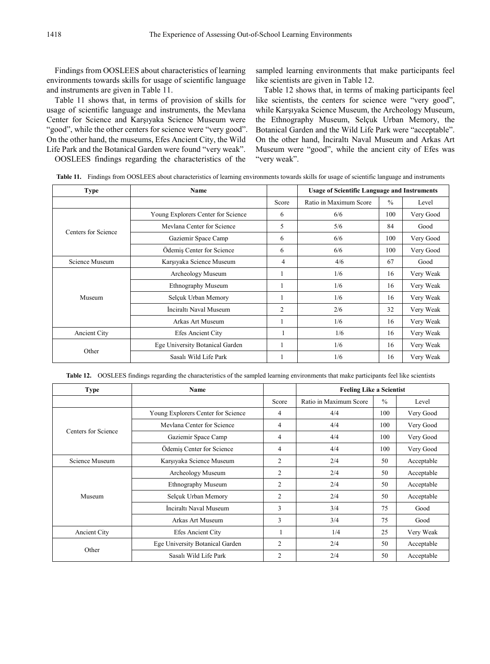Findings from OOSLEES about characteristics of learning environments towards skills for usage of scientific language and instruments are given in Table 11.

Table 11 shows that, in terms of provision of skills for usage of scientific language and instruments, the Mevlana Center for Science and Karşıyaka Science Museum were "good", while the other centers for science were "very good". On the other hand, the museums, Efes Ancient City, the Wild Life Park and the Botanical Garden were found "very weak". OOSLEES findings regarding the characteristics of the

sampled learning environments that make participants feel like scientists are given in Table 12.

Table 12 shows that, in terms of making participants feel like scientists, the centers for science were "very good", while Karşıyaka Science Museum, the Archeology Museum, the Ethnography Museum, Selçuk Urban Memory, the Botanical Garden and the Wild Life Park were "acceptable". On the other hand, İnciraltı Naval Museum and Arkas Art Museum were "good", while the ancient city of Efes was "very weak".

**Table 11.** Findings from OOSLEES about characteristics of learning environments towards skills for usage of scientific language and instruments

| <b>Type</b>         | Name                               |                | <b>Usage of Scientific Language and Instruments</b> |               |           |
|---------------------|------------------------------------|----------------|-----------------------------------------------------|---------------|-----------|
|                     |                                    | Score          | Ratio in Maximum Score                              | $\frac{0}{0}$ | Level     |
|                     | Young Explorers Center for Science | 6              | 6/6                                                 | 100           | Very Good |
|                     | Mevlana Center for Science         | 5              | 5/6                                                 | 84            | Good      |
| Centers for Science | Gaziemir Space Camp                | 6              | 6/6                                                 | 100           | Very Good |
|                     | Ödemiş Center for Science          | 6              | 6/6                                                 | 100           | Very Good |
| Science Museum      | Karşıyaka Science Museum           | 4              | 4/6                                                 | 67            | Good      |
|                     | Archeology Museum                  |                | 1/6                                                 | 16            | Very Weak |
|                     | Ethnography Museum                 |                | 1/6                                                 | 16            | Very Weak |
| Museum              | Selçuk Urban Memory                |                | 1/6                                                 | 16            | Very Weak |
|                     | Inciralti Naval Museum             | $\overline{2}$ | 2/6                                                 | 32            | Very Weak |
|                     | Arkas Art Museum                   |                | 1/6                                                 | 16            | Very Weak |
| <b>Ancient City</b> | Efes Ancient City                  |                | 1/6                                                 | 16            | Very Weak |
|                     | Ege University Botanical Garden    |                | 1/6                                                 | 16            | Very Weak |
| Other               | Sasalı Wild Life Park              |                | 1/6                                                 | 16            | Very Weak |

**Table 12.** OOSLEES findings regarding the characteristics of the sampled learning environments that make participants feel like scientists

| <b>Type</b>         | Name                               |                | <b>Feeling Like a Scientist</b> |               |            |
|---------------------|------------------------------------|----------------|---------------------------------|---------------|------------|
|                     |                                    | Score          | Ratio in Maximum Score          | $\frac{0}{0}$ | Level      |
| Centers for Science | Young Explorers Center for Science | 4              | 4/4                             | 100           | Very Good  |
|                     | Mevlana Center for Science         | 4              | 4/4                             | 100           | Very Good  |
|                     | Gaziemir Space Camp                | 4              | 4/4                             | 100           | Very Good  |
|                     | Ödemiş Center for Science          | 4              | 4/4                             | 100           | Very Good  |
| Science Museum      | Karşıyaka Science Museum           | $\overline{2}$ | 2/4                             | 50            | Acceptable |
| Museum              | Archeology Museum                  | 2              | 2/4                             | 50            | Acceptable |
|                     | Ethnography Museum                 | 2              | 2/4                             | 50            | Acceptable |
|                     | Selçuk Urban Memory                | 2              | 2/4                             | 50            | Acceptable |
|                     | Inciralti Naval Museum             | 3              | 3/4                             | 75            | Good       |
|                     | Arkas Art Museum                   | 3              | 3/4                             | 75            | Good       |
| <b>Ancient City</b> | Efes Ancient City                  |                | 1/4                             | 25            | Very Weak  |
| Other               | Ege University Botanical Garden    | 2              | 2/4                             | 50            | Acceptable |
|                     | Sasalı Wild Life Park              | $\overline{2}$ | 2/4                             | 50            | Acceptable |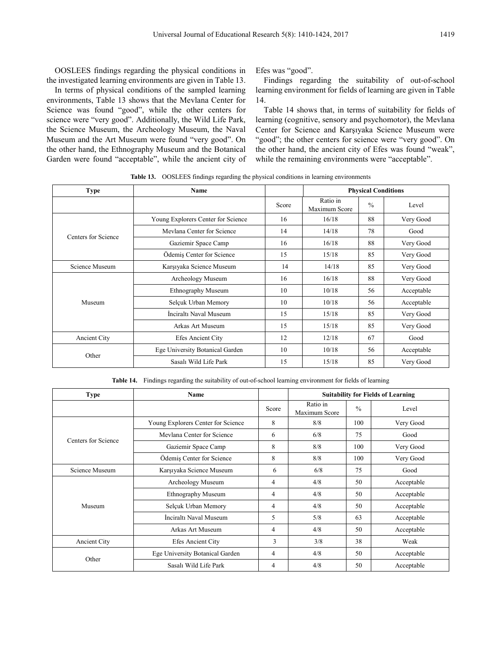OOSLEES findings regarding the physical conditions in the investigated learning environments are given in Table 13.

In terms of physical conditions of the sampled learning environments, Table 13 shows that the Mevlana Center for Science was found "good", while the other centers for science were "very good". Additionally, the Wild Life Park, the Science Museum, the Archeology Museum, the Naval Museum and the Art Museum were found "very good". On the other hand, the Ethnography Museum and the Botanical Garden were found "acceptable", while the ancient city of

Efes was "good".

Findings regarding the suitability of out-of-school learning environment for fields of learning are given in Table 14.

Table 14 shows that, in terms of suitability for fields of learning (cognitive, sensory and psychomotor), the Mevlana Center for Science and Karşıyaka Science Museum were "good"; the other centers for science were "very good". On the other hand, the ancient city of Efes was found "weak", while the remaining environments were "acceptable".

**Table 13.** OOSLEES findings regarding the physical conditions in learning environments

| <b>Type</b>         | <b>Name</b>                        |       | <b>Physical Conditions</b> |               |            |
|---------------------|------------------------------------|-------|----------------------------|---------------|------------|
|                     |                                    | Score | Ratio in<br>Maximum Score  | $\frac{0}{0}$ | Level      |
| Centers for Science | Young Explorers Center for Science | 16    | 16/18                      | 88            | Very Good  |
|                     | Mevlana Center for Science         | 14    | 14/18                      | 78            | Good       |
|                     | Gaziemir Space Camp                | 16    | 16/18                      | 88            | Very Good  |
|                     | Ödemiş Center for Science          | 15    | 15/18                      | 85            | Very Good  |
| Science Museum      | Karşıyaka Science Museum           | 14    | 14/18                      | 85            | Very Good  |
|                     | Archeology Museum                  | 16    | 16/18                      | 88            | Very Good  |
|                     | <b>Ethnography Museum</b>          | 10    | 10/18                      | 56            | Acceptable |
| Museum              | Selçuk Urban Memory                | 10    | 10/18                      | 56            | Acceptable |
|                     | İnciraltı Naval Museum             | 15    | 15/18                      | 85            | Very Good  |
|                     | Arkas Art Museum                   | 15    | 15/18                      | 85            | Very Good  |
| <b>Ancient City</b> | Efes Ancient City                  | 12    | 12/18                      | 67            | Good       |
| Other               | Ege University Botanical Garden    | 10    | 10/18                      | 56            | Acceptable |
|                     | Sasalı Wild Life Park              | 15    | 15/18                      | 85            | Very Good  |

**Table 14.** Findings regarding the suitability of out-of-school learning environment for fields of learning

| <b>Type</b>         | <b>Name</b>                        |                | <b>Suitability for Fields of Learning</b> |               |            |
|---------------------|------------------------------------|----------------|-------------------------------------------|---------------|------------|
|                     |                                    | Score          | Ratio in<br>Maximum Score                 | $\frac{0}{0}$ | Level      |
| Centers for Science | Young Explorers Center for Science | 8              | 8/8                                       | 100           | Very Good  |
|                     | Mevlana Center for Science         | 6              | 6/8                                       | 75            | Good       |
|                     | Gaziemir Space Camp                | 8              | 8/8                                       | 100           | Very Good  |
|                     | Ödemiş Center for Science          | 8              | 8/8                                       | 100           | Very Good  |
| Science Museum      | Karşıyaka Science Museum           | 6              | 6/8                                       | 75            | Good       |
| Museum              | Archeology Museum                  | $\overline{4}$ | 4/8                                       | 50            | Acceptable |
|                     | Ethnography Museum                 | $\overline{4}$ | 4/8                                       | 50            | Acceptable |
|                     | Selçuk Urban Memory                | $\overline{4}$ | 4/8                                       | 50            | Acceptable |
|                     | Inciralti Naval Museum             | 5              | 5/8                                       | 63            | Acceptable |
|                     | Arkas Art Museum                   | $\overline{4}$ | 4/8                                       | 50            | Acceptable |
| Ancient City        | Efes Ancient City                  | 3              | 3/8                                       | 38            | Weak       |
| Other               | Ege University Botanical Garden    | $\overline{4}$ | 4/8                                       | 50            | Acceptable |
|                     | Sasalı Wild Life Park              | $\overline{4}$ | 4/8                                       | 50            | Acceptable |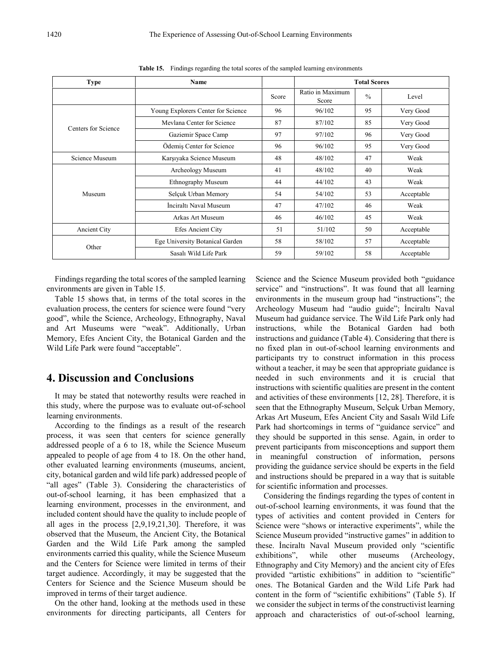| <b>Type</b>         | Name                               |       | <b>Total Scores</b>       |               |            |  |
|---------------------|------------------------------------|-------|---------------------------|---------------|------------|--|
|                     |                                    | Score | Ratio in Maximum<br>Score | $\frac{0}{0}$ | Level      |  |
| Centers for Science | Young Explorers Center for Science | 96    | 96/102                    | 95            | Very Good  |  |
|                     | Mevlana Center for Science         | 87    | 87/102                    | 85            | Very Good  |  |
|                     | Gaziemir Space Camp                | 97    | 97/102                    | 96            | Very Good  |  |
|                     | Ödemiş Center for Science          | 96    | 96/102                    | 95            | Very Good  |  |
| Science Museum      | Karşıyaka Science Museum           | 48    | 48/102                    | 47            | Weak       |  |
| Museum              | Archeology Museum                  | 41    | 48/102                    | 40            | Weak       |  |
|                     | Ethnography Museum                 | 44    | 44/102                    | 43            | Weak       |  |
|                     | Selçuk Urban Memory                | 54    | 54/102                    | 53            | Acceptable |  |
|                     | İnciraltı Naval Museum             | 47    | 47/102                    | 46            | Weak       |  |
|                     | Arkas Art Museum                   | 46    | 46/102                    | 45            | Weak       |  |
| Ancient City        | Efes Ancient City                  | 51    | 51/102                    | 50            | Acceptable |  |
| Other               | Ege University Botanical Garden    | 58    | 58/102                    | 57            | Acceptable |  |
|                     | Sasalı Wild Life Park              | 59    | 59/102                    | 58            | Acceptable |  |

**Table 15.** Findings regarding the total scores of the sampled learning environments

Findings regarding the total scores of the sampled learning environments are given in Table 15.

Table 15 shows that, in terms of the total scores in the evaluation process, the centers for science were found "very good", while the Science, Archeology, Ethnography, Naval and Art Museums were "weak". Additionally, Urban Memory, Efes Ancient City, the Botanical Garden and the Wild Life Park were found "acceptable".

### **4. Discussion and Conclusions**

It may be stated that noteworthy results were reached in this study, where the purpose was to evaluate out-of-school learning environments.

According to the findings as a result of the research process, it was seen that centers for science generally addressed people of a 6 to 18, while the Science Museum appealed to people of age from 4 to 18. On the other hand, other evaluated learning environments (museums, ancient, city, botanical garden and wild life park) addressed people of "all ages" (Table 3). Considering the characteristics of out-of-school learning, it has been emphasized that a learning environment, processes in the environment, and included content should have the quality to include people of all ages in the process [2,9,19,21,30]. Therefore, it was observed that the Museum, the Ancient City, the Botanical Garden and the Wild Life Park among the sampled environments carried this quality, while the Science Museum and the Centers for Science were limited in terms of their target audience. Accordingly, it may be suggested that the Centers for Science and the Science Museum should be improved in terms of their target audience.

On the other hand, looking at the methods used in these environments for directing participants, all Centers for Science and the Science Museum provided both "guidance service" and "instructions". It was found that all learning environments in the museum group had "instructions"; the Archeology Museum had "audio guide"; İnciraltı Naval Museum had guidance service. The Wild Life Park only had instructions, while the Botanical Garden had both instructions and guidance (Table 4). Considering that there is no fixed plan in out-of-school learning environments and participants try to construct information in this process without a teacher, it may be seen that appropriate guidance is needed in such environments and it is crucial that instructions with scientific qualities are present in the content and activities of these environments [12, 28]. Therefore, it is seen that the Ethnography Museum, Selçuk Urban Memory, Arkas Art Museum, Efes Ancient City and Sasalı Wild Life Park had shortcomings in terms of "guidance service" and they should be supported in this sense. Again, in order to prevent participants from misconceptions and support them in meaningful construction of information, persons providing the guidance service should be experts in the field and instructions should be prepared in a way that is suitable for scientific information and processes.

Considering the findings regarding the types of content in out-of-school learning environments, it was found that the types of activities and content provided in Centers for Science were "shows or interactive experiments", while the Science Museum provided "instructive games" in addition to these. İnciraltı Naval Museum provided only "scientific exhibitions", while other museums (Archeology, Ethnography and City Memory) and the ancient city of Efes provided "artistic exhibitions" in addition to "scientific" ones. The Botanical Garden and the Wild Life Park had content in the form of "scientific exhibitions" (Table 5). If we consider the subject in terms of the constructivist learning approach and characteristics of out-of-school learning,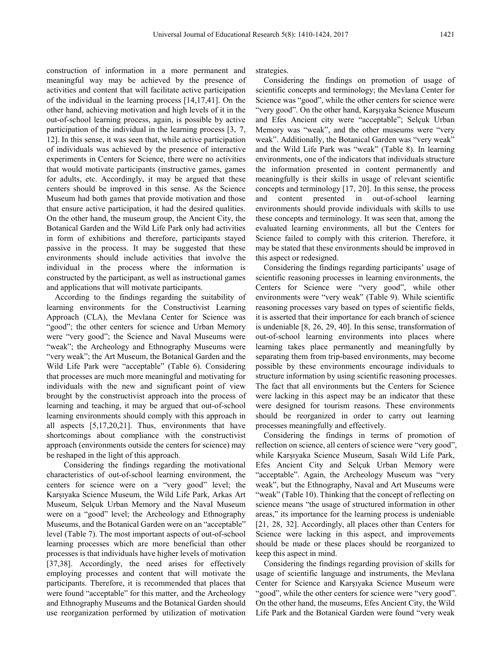construction of information in a more permanent and meaningful way may be achieved by the presence of activities and content that will facilitate active participation of the individual in the learning process [14,17,41]. On the other hand, achieving motivation and high levels of it in the out-of-school learning process, again, is possible by active participation of the individual in the learning process [3, 7, 12]. In this sense, it was seen that, while active participation of individuals was achieved by the presence of interactive experiments in Centers for Science, there were no activities that would motivate participants (instructive games, games for adults, etc. Accordingly, it may be argued that these centers should be improved in this sense. As the Science Museum had both games that provide motivation and those that ensure active participation, it had the desired qualities. On the other hand, the museum group, the Ancient City, the Botanical Garden and the Wild Life Park only had activities in form of exhibitions and therefore, participants stayed passive in the process. It may be suggested that these environments should include activities that involve the individual in the process where the information is constructed by the participant, as well as instructional games and applications that will motivate participants.

According to the findings regarding the suitability of learning environments for the Constructivist Learning Approach (CLA), the Mevlana Center for Science was "good"; the other centers for science and Urban Memory were "very good"; the Science and Naval Museums were "weak"; the Archeology and Ethnography Museums were "very weak"; the Art Museum, the Botanical Garden and the Wild Life Park were "acceptable" (Table 6). Considering that processes are much more meaningful and motivating for individuals with the new and significant point of view brought by the constructivist approach into the process of learning and teaching, it may be argued that out-of-school learning environments should comply with this approach in all aspects [5,17,20,21]. Thus, environments that have shortcomings about compliance with the constructivist approach (environments outside the centers for science) may be reshaped in the light of this approach.

Considering the findings regarding the motivational characteristics of out-of-school learning environment, the centers for science were on a "very good" level; the Karşıyaka Science Museum, the Wild Life Park, Arkas Art Museum, Selçuk Urban Memory and the Naval Museum were on a "good" level; the Archeology and Ethnography Museums, and the Botanical Garden were on an "acceptable" level (Table 7). The most important aspects of out-of-school learning processes which are more beneficial than other processes is that individuals have higher levels of motivation [37,38]. Accordingly, the need arises for effectively employing processes and content that will motivate the participants. Therefore, it is recommended that places that were found "acceptable" for this matter, and the Archeology and Ethnography Museums and the Botanical Garden should use reorganization performed by utilization of motivation

strategies.

Considering the findings on promotion of usage of scientific concepts and terminology; the Mevlana Center for Science was "good", while the other centers for science were "very good". On the other hand, Karşıyaka Science Museum and Efes Ancient city were "acceptable"; Selçuk Urban Memory was "weak", and the other museums were "very weak". Additionally, the Botanical Garden was "very weak" and the Wild Life Park was "weak" (Table 8). In learning environments, one of the indicators that individuals structure the information presented in content permanently and meaningfully is their skills in usage of relevant scientific concepts and terminology [17, 20]. In this sense, the process and content presented in out-of-school learning environments should provide individuals with skills to use these concepts and terminology. It was seen that, among the evaluated learning environments, all but the Centers for Science failed to comply with this criterion. Therefore, it may be stated that these environments should be improved in this aspect or redesigned.

Considering the findings regarding participants' usage of scientific reasoning processes in learning environments, the Centers for Science were "very good", while other environments were "very weak" (Table 9). While scientific reasoning processes vary based on types of scientific fields, it is asserted that their importance for each branch of science is undeniable [8, 26, 29, 40]. In this sense, transformation of out-of-school learning environments into places where learning takes place permanently and meaningfully by separating them from trip-based environments, may become possible by these environments encourage individuals to structure information by using scientific reasoning processes. The fact that all environments but the Centers for Science were lacking in this aspect may be an indicator that these were designed for tourism reasons. These environments should be reorganized in order to carry out learning processes meaningfully and effectively.

Considering the findings in terms of promotion of reflection on science, all centers of science were "very good", while Karşıyaka Science Museum, Sasalı Wild Life Park, Efes Ancient City and Selçuk Urban Memory were "acceptable". Again, the Archeology Museum was "very weak", but the Ethnography, Naval and Art Museums were "weak" (Table 10). Thinking that the concept of reflecting on science means "the usage of structured information in other areas," its importance for the learning process is undeniable [21, 28, 32]. Accordingly, all places other than Centers for Science were lacking in this aspect, and improvements should be made or these places should be reorganized to keep this aspect in mind.

Considering the findings regarding provision of skills for usage of scientific language and instruments, the Mevlana Center for Science and Karşıyaka Science Museum were "good", while the other centers for science were "very good". On the other hand, the museums, Efes Ancient City, the Wild Life Park and the Botanical Garden were found "very weak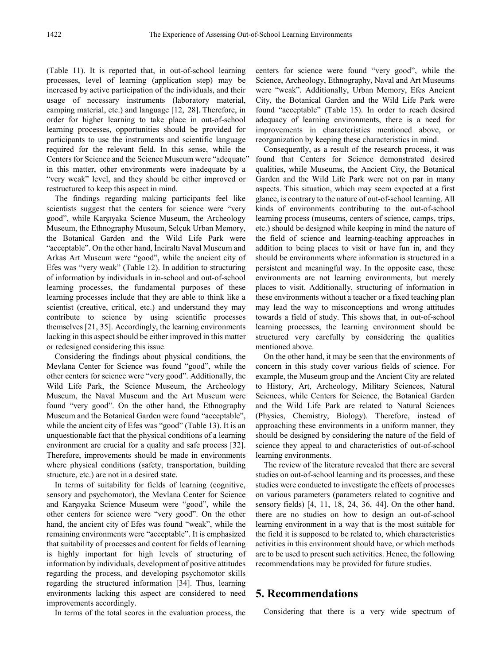(Table 11). It is reported that, in out-of-school learning processes, level of learning (application step) may be increased by active participation of the individuals, and their usage of necessary instruments (laboratory material, camping material, etc.) and language [12, 28]. Therefore, in order for higher learning to take place in out-of-school learning processes, opportunities should be provided for participants to use the instruments and scientific language required for the relevant field. In this sense, while the Centers for Science and the Science Museum were "adequate" in this matter, other environments were inadequate by a "very weak" level, and they should be either improved or restructured to keep this aspect in mind.

The findings regarding making participants feel like scientists suggest that the centers for science were "very good", while Karşıyaka Science Museum, the Archeology Museum, the Ethnography Museum, Selçuk Urban Memory, the Botanical Garden and the Wild Life Park were "acceptable". On the other hand, İnciraltı Naval Museum and Arkas Art Museum were "good", while the ancient city of Efes was "very weak" (Table 12). In addition to structuring of information by individuals in in-school and out-of-school learning processes, the fundamental purposes of these learning processes include that they are able to think like a scientist (creative, critical, etc.) and understand they may contribute to science by using scientific processes themselves [21, 35]. Accordingly, the learning environments lacking in this aspect should be either improved in this matter or redesigned considering this issue.

Considering the findings about physical conditions, the Mevlana Center for Science was found "good", while the other centers for science were "very good". Additionally, the Wild Life Park, the Science Museum, the Archeology Museum, the Naval Museum and the Art Museum were found "very good". On the other hand, the Ethnography Museum and the Botanical Garden were found "acceptable", while the ancient city of Efes was "good" (Table 13). It is an unquestionable fact that the physical conditions of a learning environment are crucial for a quality and safe process [32]. Therefore, improvements should be made in environments where physical conditions (safety, transportation, building structure, etc.) are not in a desired state.

In terms of suitability for fields of learning (cognitive, sensory and psychomotor), the Mevlana Center for Science and Karşıyaka Science Museum were "good", while the other centers for science were "very good". On the other hand, the ancient city of Efes was found "weak", while the remaining environments were "acceptable". It is emphasized that suitability of processes and content for fields of learning is highly important for high levels of structuring of information by individuals, development of positive attitudes regarding the process, and developing psychomotor skills regarding the structured information [34]. Thus, learning environments lacking this aspect are considered to need improvements accordingly.

In terms of the total scores in the evaluation process, the

centers for science were found "very good", while the Science, Archeology, Ethnography, Naval and Art Museums were "weak". Additionally, Urban Memory, Efes Ancient City, the Botanical Garden and the Wild Life Park were found "acceptable" (Table 15). In order to reach desired adequacy of learning environments, there is a need for improvements in characteristics mentioned above, or reorganization by keeping these characteristics in mind.

Consequently, as a result of the research process, it was found that Centers for Science demonstrated desired qualities, while Museums, the Ancient City, the Botanical Garden and the Wild Life Park were not on par in many aspects. This situation, which may seem expected at a first glance, is contrary to the nature of out-of-school learning. All kinds of environments contributing to the out-of-school learning process (museums, centers of science, camps, trips, etc.) should be designed while keeping in mind the nature of the field of science and learning-teaching approaches in addition to being places to visit or have fun in, and they should be environments where information is structured in a persistent and meaningful way. In the opposite case, these environments are not learning environments, but merely places to visit. Additionally, structuring of information in these environments without a teacher or a fixed teaching plan may lead the way to misconceptions and wrong attitudes towards a field of study. This shows that, in out-of-school learning processes, the learning environment should be structured very carefully by considering the qualities mentioned above.

On the other hand, it may be seen that the environments of concern in this study cover various fields of science. For example, the Museum group and the Ancient City are related to History, Art, Archeology, Military Sciences, Natural Sciences, while Centers for Science, the Botanical Garden and the Wild Life Park are related to Natural Sciences (Physics, Chemistry, Biology). Therefore, instead of approaching these environments in a uniform manner, they should be designed by considering the nature of the field of science they appeal to and characteristics of out-of-school learning environments.

The review of the literature revealed that there are several studies on out-of-school learning and its processes, and these studies were conducted to investigate the effects of processes on various parameters (parameters related to cognitive and sensory fields) [4, 11, 18, 24, 36, 44]. On the other hand, there are no studies on how to design an out-of-school learning environment in a way that is the most suitable for the field it is supposed to be related to, which characteristics activities in this environment should have, or which methods are to be used to present such activities. Hence, the following recommendations may be provided for future studies.

### **5. Recommendations**

Considering that there is a very wide spectrum of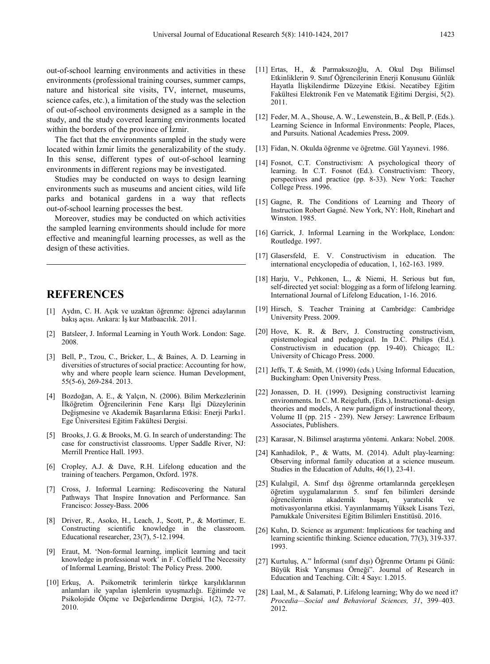out-of-school learning environments and activities in these environments (professional training courses, summer camps, nature and historical site visits, TV, internet, museums, science cafes, etc.), a limitation of the study was the selection of out-of-school environments designed as a sample in the study, and the study covered learning environments located within the borders of the province of İzmir.

The fact that the environments sampled in the study were located within İzmir limits the generalizability of the study. In this sense, different types of out-of-school learning environments in different regions may be investigated.

Studies may be conducted on ways to design learning environments such as museums and ancient cities, wild life parks and botanical gardens in a way that reflects out-of-school learning processes the best.

Moreover, studies may be conducted on which activities the sampled learning environments should include for more effective and meaningful learning processes, as well as the design of these activities.

### **REFERENCES**

- [1] Aydın, C. H. Açık ve uzaktan öğrenme: öğrenci adaylarının bakış açısı. Ankara: İş kur Matbaacılık. 2011.
- [2] Batsleer, J. Informal Learning in Youth Work. London: Sage. 2008.
- [3] Bell, P., Tzou, C., Bricker, L., & Baines, A. D. Learning in diversities of structures of social practice: Accounting for how, why and where people learn science. Human Development, 55(5-6), 269-284. 2013.
- [4] Bozdoğan, A. E., & Yalçın, N. (2006). Bilim Merkezlerinin İlköğretim Öğrencilerinin Fene Karşı İlgi Düzeylerinin Değişmesine ve Akademik Başarılarına Etkisi: Enerji Parkı1. Ege Üniversitesi Eğitim Fakültesi Dergisi.
- [5] Brooks, J. G. & Brooks, M. G. In search of understanding: The case for constructivist classrooms. Upper Saddle River, NJ: Merrill Prentice Hall. 1993.
- [6] Cropley, A.J. & Dave, R.H. Lifelong education and the training of teachers. Pergamon, Oxford. 1978.
- [7] Cross, J. Informal Learning: Rediscovering the Natural Pathways That Inspire Innovation and Performance. San Francisco: Jossey-Bass. 2006
- [8] Driver, R., Asoko, H., Leach, J., Scott, P., & Mortimer, E. Constructing scientific knowledge in the classroom. Educational researcher, 23(7), 5-12.1994.
- [9] Eraut, M. 'Non-formal learning, implicit learning and tacit knowledge in professional work' in F. Coffield The Necessity of Informal Learning, Bristol: The Policy Press. 2000.
- [10] Erkuş, A. Psikometrik terimlerin türkçe karşılıklarının anlamları ile yapılan işlemlerin uyuşmazlığı. Eğitimde ve Psikolojide Ölçme ve Değerlendirme Dergisi, 1(2), 72-77. 2010.
- [11] Ertas, H., & Parmaksızoğlu, A. Okul Dışı Bilimsel Etkinliklerin 9. Sınıf Öğrencilerinin Enerji Konusunu Günlük Hayatla İlişkilendirme Düzeyine Etkisi. Necatibey Eğitim Fakültesi Elektronik Fen ve Matematik Eğitimi Dergisi, 5(2). 2011.
- [12] Feder, M. A., Shouse, A. W., Lewenstein, B., & Bell, P. (Eds.). Learning Science in Informal Environments: People, Places, and Pursuits. National Academies Press**.** 2009.
- [13] Fidan, N. Okulda öğrenme ve öğretme. Gül Yayınevi. 1986.
- [14] Fosnot, C.T. Constructivism: A psychological theory of learning. In C.T. Fosnot (Ed.). Constructivism: Theory, perspectives and practice (pp. 8-33). New York: Teacher College Press. 1996.
- [15] Gagne, R. The Conditions of Learning and Theory of Instruction Robert Gagné. New York, NY: Holt, Rinehart and Winston. 1985.
- [16] Garrick, J. Informal Learning in the Workplace, London: Routledge. 1997.
- [17] Glasersfeld, E. V. Constructivism in education. The international encyclopedia of education, 1, 162-163. 1989.
- [18] Harju, V., Pehkonen, L., & Niemi, H. Serious but fun, self-directed yet social: blogging as a form of lifelong learning. International Journal of Lifelong Education, 1-16. 2016.
- [19] Hirsch, S. Teacher Training at Cambridge: Cambridge University Press. 2009.
- [20] Hove, K. R. & Berv, J. Constructing constructivism, epistemological and pedagogical. In D.C. Philips (Ed.). Constructivism in education (pp. 19-40). Chicago; IL: University of Chicago Press. 2000.
- [21] Jeffs, T. & Smith, M. (1990) (eds.) Using Informal Education, Buckingham: Open University Press.
- [22] Jonassen, D. H. (1999). Designing constructivist learning environments. In C. M. Reigeluth, (Eds.), Instructional- design theories and models, A new paradigm of instructional theory, Volume II (pp. 215 - 239). New Jersey: Lawrence Erlbaum Associates, Publishers.
- [23] Karasar, N. Bilimsel araştırma yöntemi. Ankara: Nobel. 2008.
- [24] Kanhadilok, P., & Watts, M. (2014). Adult play-learning: Observing informal family education at a science museum. Studies in the Education of Adults, 46(1), 23-41.
- [25] Kulalıgil, A. Sınıf dışı öğrenme ortamlarında gerçekleşen öğretim uygulamalarının 5. sınıf fen bilimleri dersinde öğrencilerinin akademik başarı, yaratıcılık ve motivasyonlarına etkisi. Yayınlanmamış Yüksek Lisans Tezi, Pamukkale Üniversitesi Eğitim Bilimleri Enstitüsü. 2016.
- [26] Kuhn, D. Science as argument: Implications for teaching and learning scientific thinking. Science education, 77(3), 319-337. 1993.
- [27] Kurtuluş, A." İnformal (sınıf dışı) Öğrenme Ortamı pi Günü: Büyük Risk Yarışması Örneği". Journal of Research in Education and Teaching. Cilt: 4 Sayı: 1.2015.
- [28] Laal, M., & Salamati, P. Lifelong learning; Why do we need it? *Procedia—Social and Behavioral Sciences, 31*, 399–403. 2012.